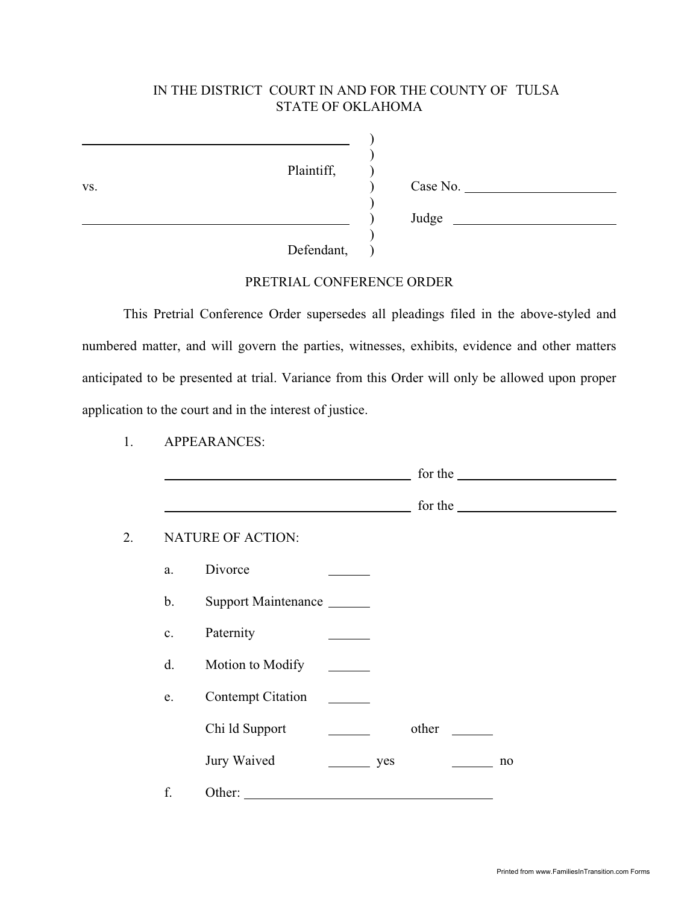### IN THE DISTRICT COURT IN AND FOR THE COUNTY OF TULSA STATE OF OKLAHOMA

 $\lambda$ )

)

)

Plaintiff, )

vs. ) Case No. ) Judge

Defendant,

#### PRETRIAL CONFERENCE ORDER

This Pretrial Conference Order supersedes all pleadings filed in the above-styled and numbered matter, and will govern the parties, witnesses, exhibits, evidence and other matters anticipated to be presented at trial. Variance from this Order will only be allowed upon proper application to the court and in the interest of justice.

1. APPEARANCES:

|               |                          |                   |       | for the |  |
|---------------|--------------------------|-------------------|-------|---------|--|
|               |                          |                   |       | for the |  |
|               | <b>NATURE OF ACTION:</b> |                   |       |         |  |
| a.            | Divorce                  |                   |       |         |  |
| b.            | Support Maintenance      |                   |       |         |  |
| $\mathbf{c}.$ | Paternity                |                   |       |         |  |
| d.            | Motion to Modify         |                   |       |         |  |
| e.            | <b>Contempt Citation</b> |                   |       |         |  |
|               | Chi ld Support           |                   | other |         |  |
|               | Jury Waived              | $\frac{\ }{}$ yes |       | no      |  |
| f.            | Other:                   |                   |       |         |  |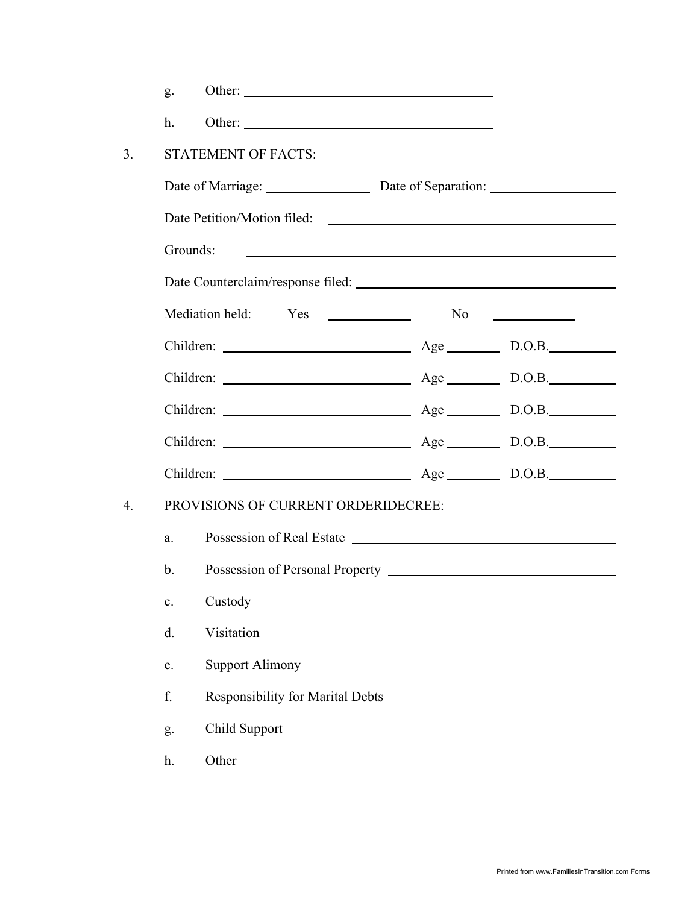|    | g.                                                                                                                                                 |                                                                        |  |    |
|----|----------------------------------------------------------------------------------------------------------------------------------------------------|------------------------------------------------------------------------|--|----|
|    | h.                                                                                                                                                 | Other:                                                                 |  |    |
| 3. |                                                                                                                                                    | <b>STATEMENT OF FACTS:</b>                                             |  |    |
|    |                                                                                                                                                    |                                                                        |  |    |
|    |                                                                                                                                                    | Date Petition/Motion filed:                                            |  |    |
|    |                                                                                                                                                    | Grounds:<br><u> 1980 - Johann Barnett, fransk politik (d. 1980)</u>    |  |    |
|    |                                                                                                                                                    | Date Counterclaim/response filed:                                      |  |    |
|    |                                                                                                                                                    |                                                                        |  | No |
|    |                                                                                                                                                    |                                                                        |  |    |
|    |                                                                                                                                                    | Children: <u>_______________________________</u> Age __________ D.O.B. |  |    |
|    |                                                                                                                                                    |                                                                        |  |    |
|    |                                                                                                                                                    |                                                                        |  |    |
|    |                                                                                                                                                    | Children: <u>Age</u> D.O.B.                                            |  |    |
| 4. | PROVISIONS OF CURRENT ORDERIDECREE:                                                                                                                |                                                                        |  |    |
|    | a.                                                                                                                                                 |                                                                        |  |    |
|    | $\mathbf{b}$ .                                                                                                                                     | Possession of Personal Property New York Changes and September 2014    |  |    |
|    | Custody<br>$\mathbf{c}$ .<br><u> 1980 - Johann Stoff, deutscher Stoffen und der Stoffen und der Stoffen und der Stoffen und der Stoffen und de</u> |                                                                        |  |    |
|    | d.                                                                                                                                                 |                                                                        |  |    |
|    | e.                                                                                                                                                 |                                                                        |  |    |
|    | f.                                                                                                                                                 |                                                                        |  |    |
|    | g.                                                                                                                                                 |                                                                        |  |    |
|    | h.                                                                                                                                                 |                                                                        |  |    |
|    |                                                                                                                                                    |                                                                        |  |    |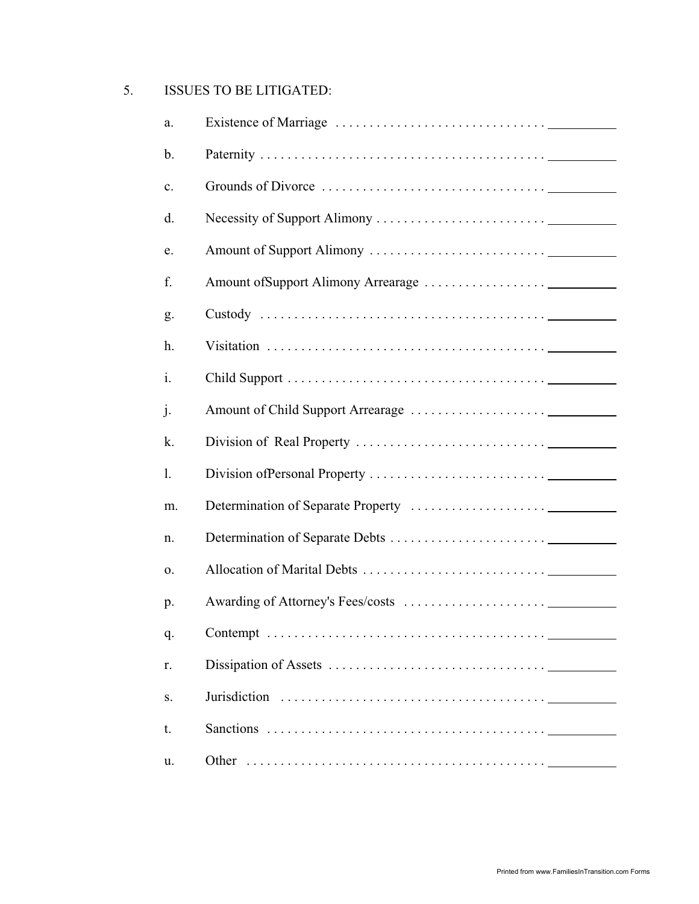## 5. ISSUES TO BE LITIGATED:

| a.             |  |
|----------------|--|
| $\mathbf b$ .  |  |
| $\mathbf{c}$ . |  |
| d.             |  |
| e.             |  |
| f.             |  |
| g.             |  |
| h.             |  |
| i.             |  |
| j.             |  |
| k.             |  |
| 1.             |  |
|                |  |
| m.             |  |
| n.             |  |
| 0.             |  |
| p.             |  |
| q.             |  |
| r.             |  |
| S.             |  |
| t.             |  |
| u.             |  |
|                |  |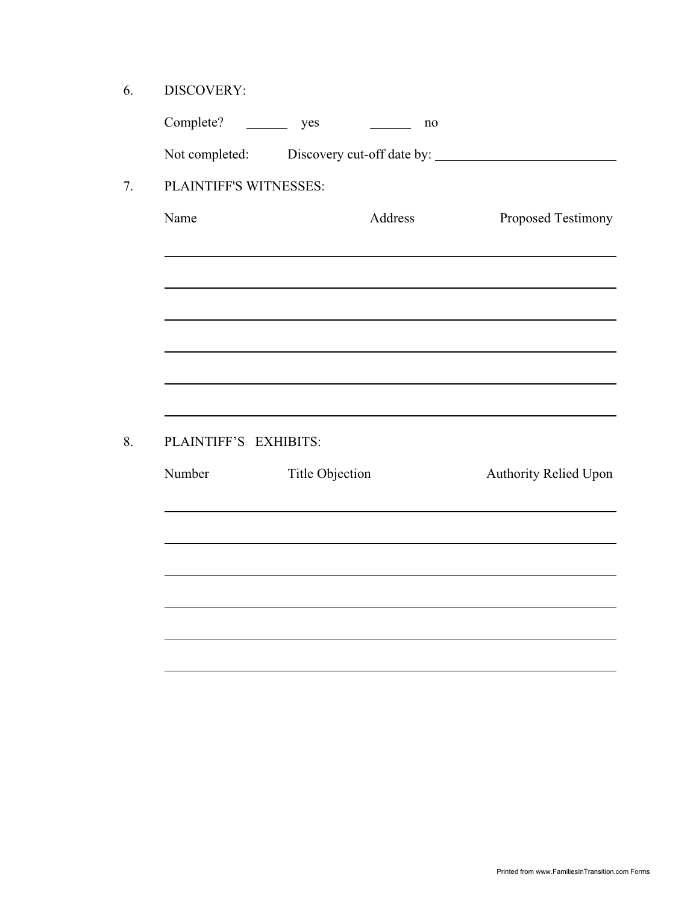6. DISCOVERY:

| Complete?              | yes             | no      |                       |
|------------------------|-----------------|---------|-----------------------|
|                        |                 |         |                       |
| PLAINTIFF'S WITNESSES: |                 |         |                       |
| Name                   |                 | Address | Proposed Testimony    |
|                        |                 |         |                       |
|                        |                 |         |                       |
|                        |                 |         |                       |
|                        |                 |         |                       |
| PLAINTIFF'S EXHIBITS:  |                 |         |                       |
| Number                 | Title Objection |         | Authority Relied Upon |
|                        |                 |         |                       |
|                        |                 |         |                       |
|                        |                 |         |                       |
|                        |                 |         |                       |
|                        |                 |         |                       |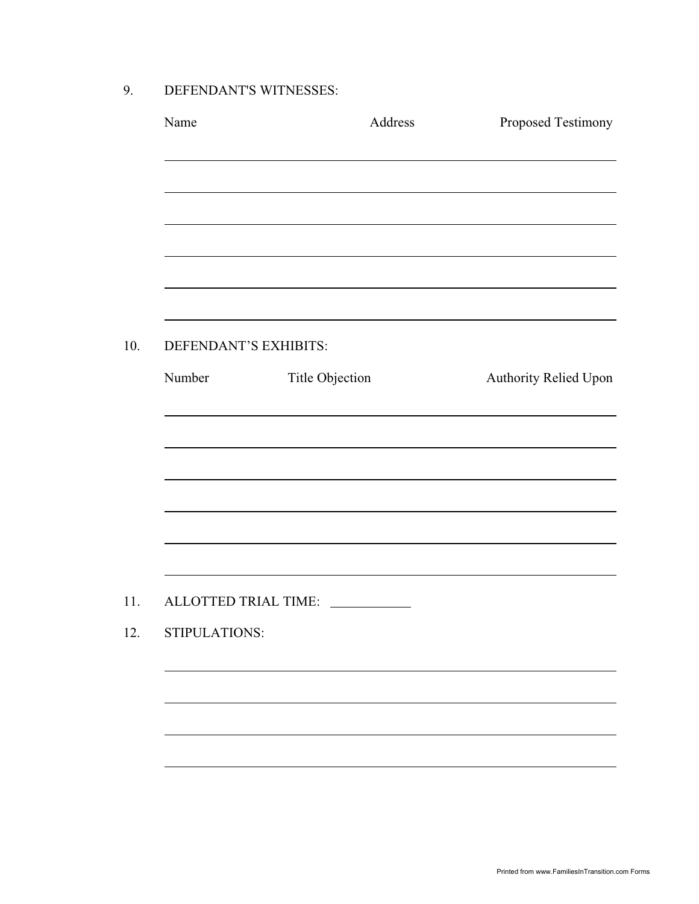9. DEFENDANT'S WITNESSES:

| Name                  |                 | Address | Proposed Testimony                                                               |
|-----------------------|-----------------|---------|----------------------------------------------------------------------------------|
|                       |                 |         | ,我们也不会有一个人的人,我们也不会有一个人的人,我们也不会有一个人的人。""我们,我们也不会有一个人的人,我们也不会有一个人的人。""我们,我们也不会有一个人 |
|                       |                 |         |                                                                                  |
|                       |                 |         |                                                                                  |
|                       |                 |         |                                                                                  |
| DEFENDANT'S EXHIBITS: |                 |         |                                                                                  |
| Number                | Title Objection |         | Authority Relied Upon                                                            |
|                       |                 |         |                                                                                  |
|                       |                 |         |                                                                                  |
|                       |                 |         |                                                                                  |
|                       |                 |         |                                                                                  |
|                       |                 |         |                                                                                  |
| ALLOTTED TRIAL TIME:  |                 |         |                                                                                  |
| STIPULATIONS:         |                 |         |                                                                                  |
|                       |                 |         |                                                                                  |
|                       |                 |         |                                                                                  |
|                       |                 |         |                                                                                  |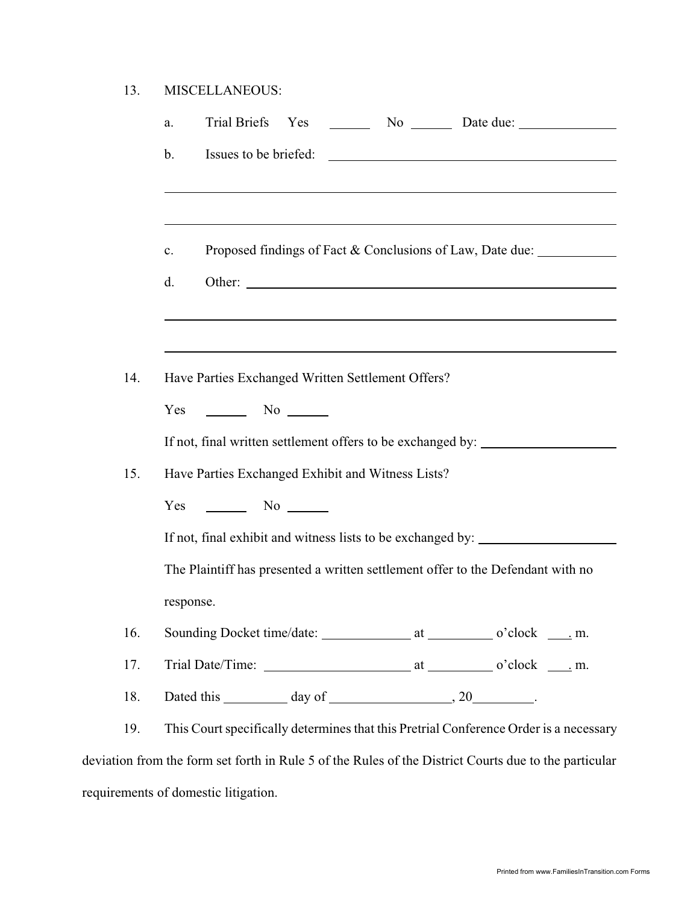| 13. | <b>MISCELLANEOUS:</b> |
|-----|-----------------------|
|     |                       |

|     | Trial Briefs Yes<br>$\sim$ No $\sim$ Date due:<br>a.                                                  |
|-----|-------------------------------------------------------------------------------------------------------|
|     | Issues to be briefed:<br>b.                                                                           |
|     |                                                                                                       |
|     | Proposed findings of Fact & Conclusions of Law, Date due:<br>$\mathbf{c}$ .                           |
|     | d.<br>Other:                                                                                          |
|     |                                                                                                       |
| 14. | Have Parties Exchanged Written Settlement Offers?                                                     |
|     | $\frac{1}{\sqrt{1-\frac{1}{2}}}\sqrt{1-\frac{1}{2}}$<br>Yes                                           |
|     | If not, final written settlement offers to be exchanged by:                                           |
| 15. | Have Parties Exchanged Exhibit and Witness Lists?                                                     |
|     | $\sim$ No $\sim$<br>Yes                                                                               |
|     | If not, final exhibit and witness lists to be exchanged by: ____________________                      |
|     | The Plaintiff has presented a written settlement offer to the Defendant with no                       |
|     | response.                                                                                             |
| 16. |                                                                                                       |
| 17. |                                                                                                       |
| 18. |                                                                                                       |
| 19. | This Court specifically determines that this Pretrial Conference Order is a necessary                 |
|     | deviation from the form set forth in Rule 5 of the Rules of the District Courts due to the particular |
|     |                                                                                                       |

requirements of domestic litigation.